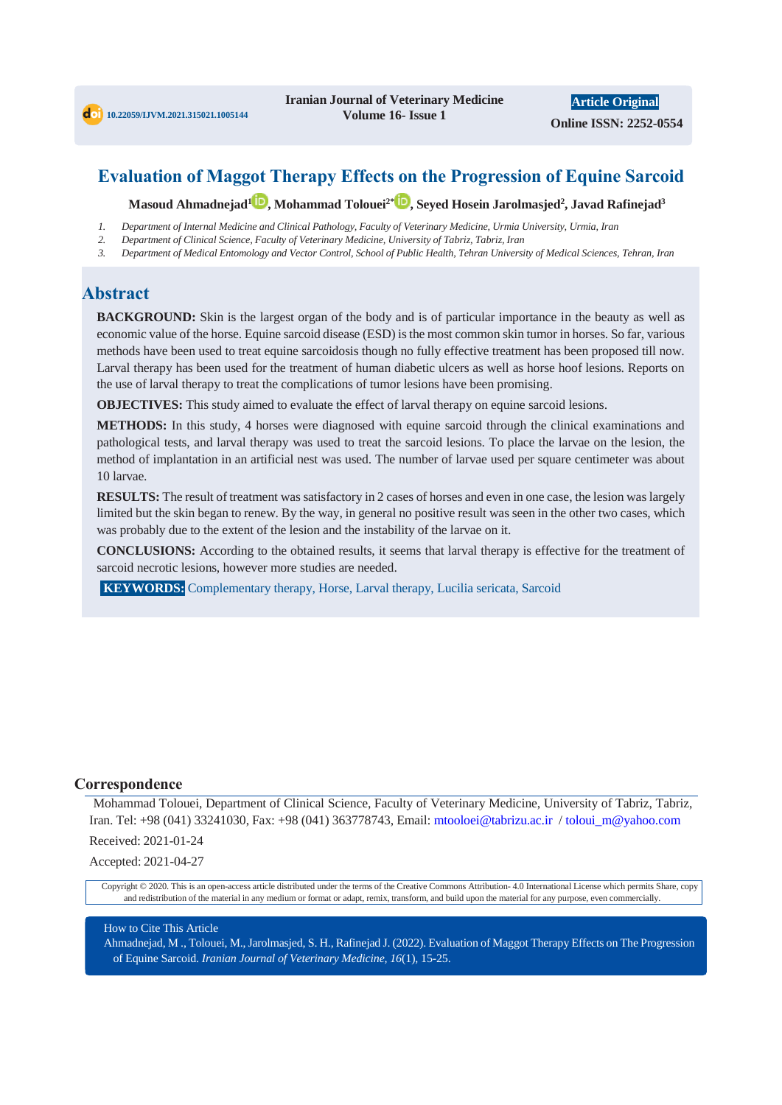# **Evaluation of Maggot Therapy Effects on the Progression of Equine Sarcoid**

**Masoud Ahmadnejad<sup>1</sup> , Mohammad Tolouei2\* , Seyed Hosein Jarolmasjed<sup>2</sup> , Javad Rafinejad<sup>3</sup>**

- *1. Department of Internal Medicine and Clinical Pathology, Faculty of Veterinary Medicine, Urmia University, Urmia, Iran*
- *2. Department of Clinical Science, Faculty of Veterinary Medicine, University of Tabriz, Tabriz, Iran*
- *3. Department of Medical Entomology and Vector Control, School of Public Health, Tehran University of Medical Sciences, Tehran, Iran*

# **Abstract**

**BACKGROUND:** Skin is the largest organ of the body and is of particular importance in the beauty as well as economic value of the horse. Equine sarcoid disease (ESD) is the most common skin tumor in horses. So far, various methods have been used to treat equine sarcoidosis though no fully effective treatment has been proposed till now. Larval therapy has been used for the treatment of human diabetic ulcers as well as horse hoof lesions. Reports on the use of larval therapy to treat the complications of tumor lesions have been promising.

**OBJECTIVES:** This study aimed to evaluate the effect of larval therapy on equine sarcoid lesions.

**METHODS:** In this study, 4 horses were diagnosed with equine sarcoid through the clinical examinations and pathological tests, and larval therapy was used to treat the sarcoid lesions. To place the larvae on the lesion, the method of implantation in an artificial nest was used. The number of larvae used per square centimeter was about 10 larvae.

**RESULTS:** The result of treatment was satisfactory in 2 cases of horses and even in one case, the lesion was largely limited but the skin began to renew. By the way, in general no positive result was seen in the other two cases, which was probably due to the extent of the lesion and the instability of the larvae on it.

**CONCLUSIONS:** According to the obtained results, it seems that larval therapy is effective for the treatment of sarcoid necrotic lesions, however more studies are needed.

**KEYWORDS:** Complementary therapy, Horse, Larval therapy, Lucilia sericata, Sarcoid

#### **Correspondence**

Mohammad Tolouei, Department of Clinical Science, Faculty of Veterinary Medicine, University of Tabriz, Tabriz, Iran. Tel: +98 (041) 33241030, Fax: +98 (041) 363778743, Email: mtooloei@tabrizu.ac.ir / toloui\_m@yahoo.com

Received: 2021-01-24

Accepted: 2021-04-27

Copyright © 2020. This is an open-access article distributed under the terms of the Creative Commons Attribution- 4.0 International License which permits Share, copy and redistribution of the material in any medium or format or adapt, remix, transform, and build upon the material for any purpose, even commercially.

#### How to Cite This Article

Ahmadnejad, M ., Tolouei, M., Jarolmasjed, S. H., Rafinejad J. (2022). Evaluation of Maggot Therapy Effects on The Progression of Equine Sarcoid. *Iranian Journal of Veterinary Medicine, 16*(1), 15-25.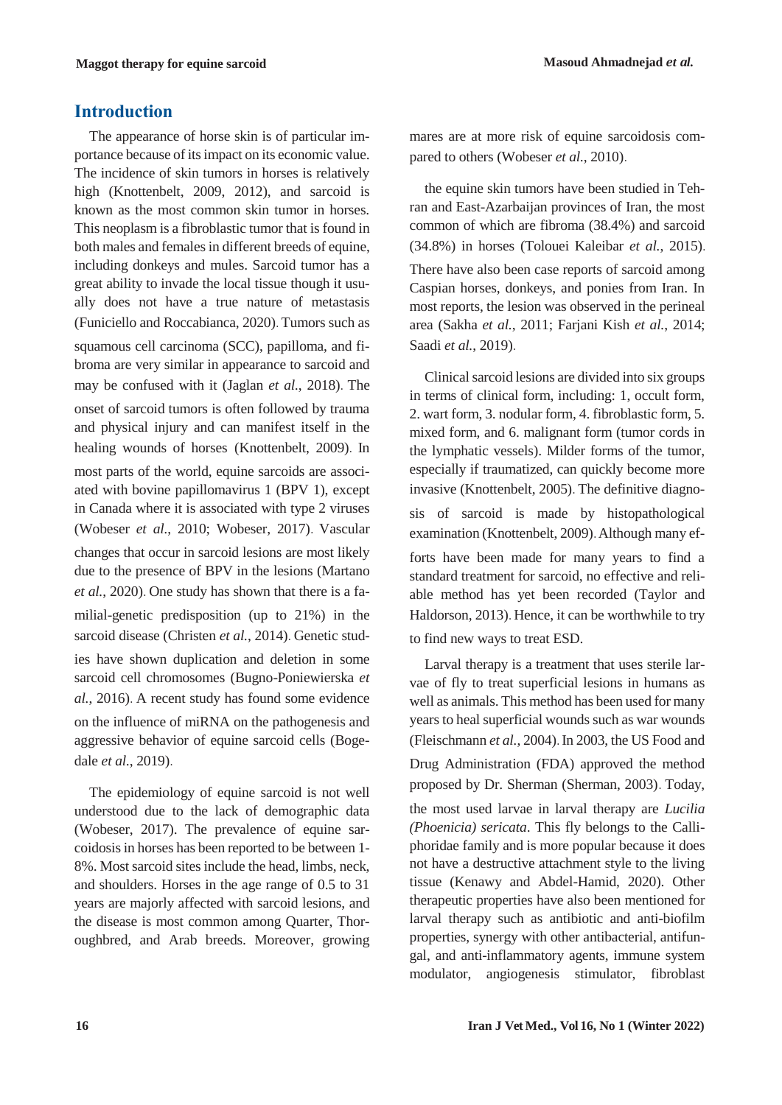# **Introduction**

The appearance of horse skin is of particular importance because of its impact on its economic value. The incidence of skin tumors in horses is relatively high (Knottenbelt, 2009, 2012), and sarcoid is known as the most common skin tumor in horses. This neoplasm is a fibroblastic tumor that is found in both males and females in different breeds of equine, including donkeys and mules. Sarcoid tumor has a great ability to invade the local tissue though it usually does not have a true nature of metastasis (Funiciello and Roccabianca, 2020). Tumors such as squamous cell carcinoma (SCC), papilloma, and fibroma are very similar in appearance to sarcoid and may be confused with it (Jaglan *et al.*, 2018). The onset of sarcoid tumors is often followed by trauma and physical injury and can manifest itself in the healing wounds of horses (Knottenbelt, 2009). In most parts of the world, equine sarcoids are associated with bovine papillomavirus 1 (BPV 1), except in Canada where it is associated with type 2 viruses (Wobeser *et al.*, 2010; Wobeser, 2017). Vascular changes that occur in sarcoid lesions are most likely due to the presence of BPV in the lesions (Martano *et al.*, 2020). One study has shown that there is a familial-genetic predisposition (up to 21%) in the sarcoid disease (Christen *et al.*, 2014). Genetic studies have shown duplication and deletion in some sarcoid cell chromosomes (Bugno-Poniewierska *et al.*, 2016). A recent study has found some evidence on the influence of miRNA on the pathogenesis and aggressive behavior of equine sarcoid cells (Bogedale *et al.*, 2019).

The epidemiology of equine sarcoid is not well understood due to the lack of demographic data (Wobeser, 2017). The prevalence of equine sarcoidosis in horses has been reported to be between 1- 8%. Most sarcoid sites include the head, limbs, neck, and shoulders. Horses in the age range of 0.5 to 31 years are majorly affected with sarcoid lesions, and the disease is most common among Quarter, Thoroughbred, and Arab breeds. Moreover, growing mares are at more risk of equine sarcoidosis compared to others (Wobeser *et al.*, 2010).

the equine skin tumors have been studied in Tehran and East-Azarbaijan provinces of Iran, the most common of which are fibroma (38.4%) and sarcoid (34.8%) in horses (Tolouei Kaleibar *et al.*, 2015). There have also been case reports of sarcoid among Caspian horses, donkeys, and ponies from Iran. In most reports, the lesion was observed in the perineal area (Sakha *et al.*, 2011; Farjani Kish *et al.*, 2014; Saadi *et al.*, 2019).

Clinical sarcoid lesions are divided into six groups in terms of clinical form, including: 1, occult form, 2. wart form, 3. nodular form, 4. fibroblastic form, 5. mixed form, and 6. malignant form (tumor cords in the lymphatic vessels). Milder forms of the tumor, especially if traumatized, can quickly become more invasive (Knottenbelt, 2005). The definitive diagnosis of sarcoid is made by histopathological examination (Knottenbelt, 2009). Although many efforts have been made for many years to find a standard treatment for sarcoid, no effective and reliable method has yet been recorded (Taylor and Haldorson, 2013). Hence, it can be worthwhile to try to find new ways to treat ESD.

Larval therapy is a treatment that uses sterile larvae of fly to treat superficial lesions in humans as well as animals. This method has been used for many years to heal superficial wounds such as war wounds (Fleischmann *et al.*, 2004). In 2003, the US Food and Drug Administration (FDA) approved the method proposed by Dr. Sherman (Sherman, 2003). Today, the most used larvae in larval therapy are *Lucilia (Phoenicia) sericata*. This fly belongs to the Calliphoridae family and is more popular because it does not have a destructive attachment style to the living tissue (Kenawy and Abdel-Hamid, 2020). Other therapeutic properties have also been mentioned for larval therapy such as antibiotic and anti-biofilm properties, synergy with other antibacterial, antifungal, and anti-inflammatory agents, immune system modulator, angiogenesis stimulator, fibroblast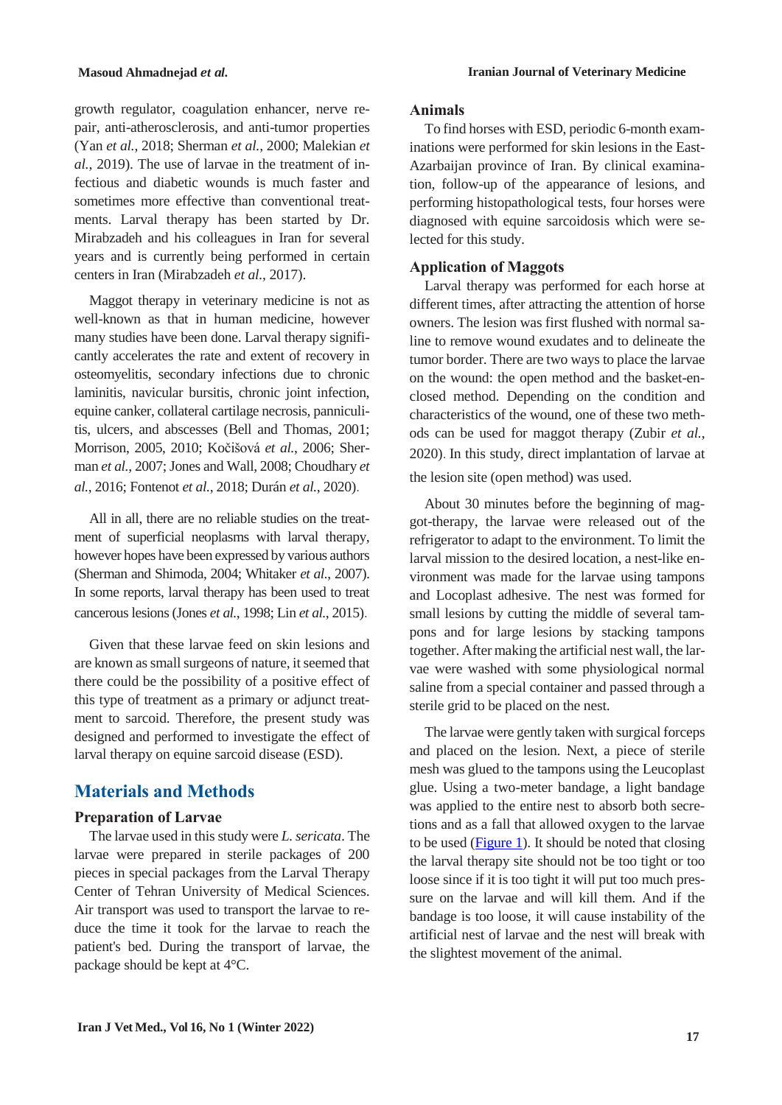growth regulator, coagulation enhancer, nerve repair, anti-atherosclerosis, and anti-tumor properties (Yan *et al.*, 2018; Sherman *et al.*, 2000; Malekian *et al.*, 2019). The use of larvae in the treatment of infectious and diabetic wounds is much faster and sometimes more effective than conventional treatments. Larval therapy has been started by Dr. Mirabzadeh and his colleagues in Iran for several years and is currently being performed in certain centers in Iran (Mirabzadeh *et al.*, 2017).

Maggot therapy in veterinary medicine is not as well-known as that in human medicine, however many studies have been done. Larval therapy significantly accelerates the rate and extent of recovery in osteomyelitis, secondary infections due to chronic laminitis, navicular bursitis, chronic joint infection, equine canker, collateral cartilage necrosis, panniculitis, ulcers, and abscesses (Bell and Thomas, 2001; Morrison, 2005, 2010; Kočišová *et al.*, 2006; Sherman *et al.*, 2007; Jones and Wall, 2008; Choudhary *et al.*, 2016; Fontenot *et al.*, 2018; Durán *et al.*, 2020).

All in all, there are no reliable studies on the treatment of superficial neoplasms with larval therapy, however hopes have been expressed by various authors (Sherman and Shimoda, 2004; Whitaker *et al.*, 2007). In some reports, larval therapy has been used to treat cancerous lesions (Jones *et al.*, 1998; Lin *et al.*, 2015).

Given that these larvae feed on skin lesions and are known as small surgeons of nature, it seemed that there could be the possibility of a positive effect of this type of treatment as a primary or adjunct treatment to sarcoid. Therefore, the present study was designed and performed to investigate the effect of larval therapy on equine sarcoid disease (ESD).

# **Materials and Methods**

#### **Preparation of Larvae**

The larvae used in this study were *L. sericata*. The larvae were prepared in sterile packages of 200 pieces in special packages from the Larval Therapy Center of Tehran University of Medical Sciences. Air transport was used to transport the larvae to reduce the time it took for the larvae to reach the patient's bed. During the transport of larvae, the package should be kept at 4°C.

#### **Animals**

To find horses with ESD, periodic 6-month examinations were performed for skin lesions in the East-Azarbaijan province of Iran. By clinical examination, follow-up of the appearance of lesions, and performing histopathological tests, four horses were diagnosed with equine sarcoidosis which were selected for this study.

#### **Application of Maggots**

Larval therapy was performed for each horse at different times, after attracting the attention of horse owners. The lesion was first flushed with normal saline to remove wound exudates and to delineate the tumor border. There are two ways to place the larvae on the wound: the open method and the basket-enclosed method. Depending on the condition and characteristics of the wound, one of these two methods can be used for maggot therapy (Zubir *et al.*, 2020). In this study, direct implantation of larvae at the lesion site (open method) was used.

About 30 minutes before the beginning of maggot-therapy, the larvae were released out of the refrigerator to adapt to the environment. To limit the larval mission to the desired location, a nest-like environment was made for the larvae using tampons and Locoplast adhesive. The nest was formed for small lesions by cutting the middle of several tampons and for large lesions by stacking tampons together. After making the artificial nest wall, the larvae were washed with some physiological normal saline from a special container and passed through a sterile grid to be placed on the nest.

The larvae were gently taken with surgical forceps and placed on the lesion. Next, a piece of sterile mesh was glued to the tampons using the Leucoplast glue. Using a two-meter bandage, a light bandage was applied to the entire nest to absorb both secretions and as a fall that allowed oxygen to the larvae to be used [\(Figure 1\)](#page-3-0). It should be noted that closing the larval therapy site should not be too tight or too loose since if it is too tight it will put too much pressure on the larvae and will kill them. And if the bandage is too loose, it will cause instability of the artificial nest of larvae and the nest will break with the slightest movement of the animal.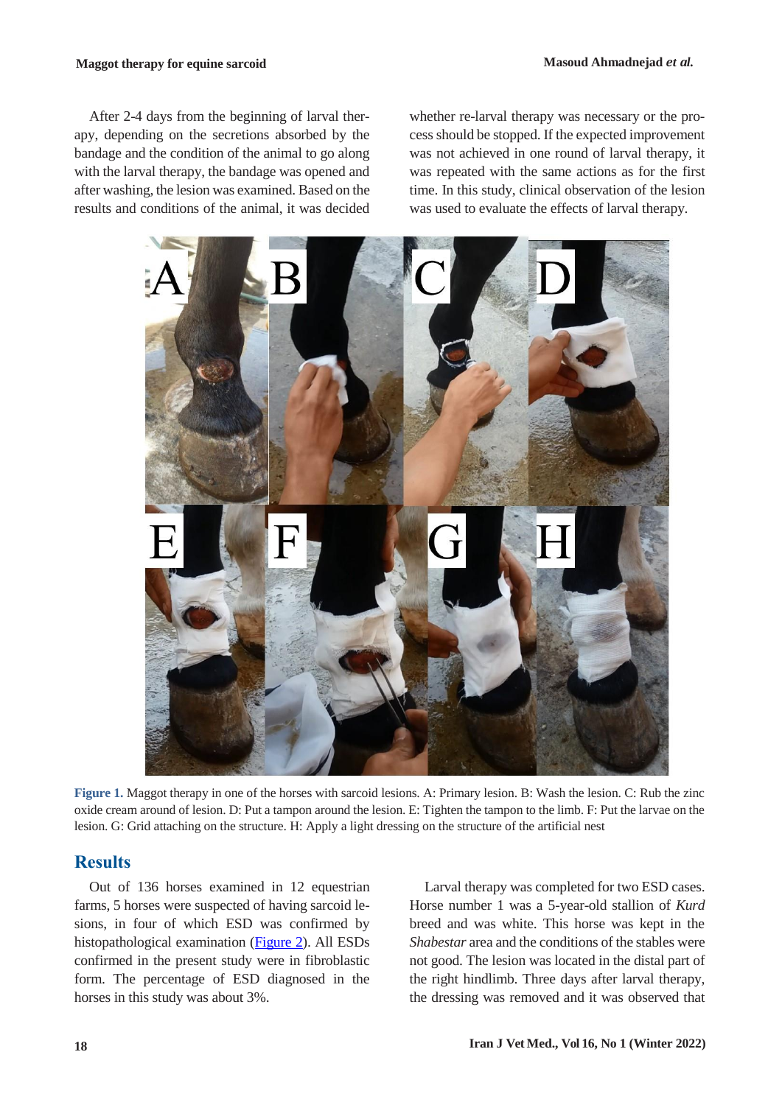After 2-4 days from the beginning of larval therapy, depending on the secretions absorbed by the bandage and the condition of the animal to go along with the larval therapy, the bandage was opened and after washing, the lesion was examined. Based on the results and conditions of the animal, it was decided whether re-larval therapy was necessary or the process should be stopped. If the expected improvement was not achieved in one round of larval therapy, it was repeated with the same actions as for the first time. In this study, clinical observation of the lesion was used to evaluate the effects of larval therapy.



**Figure 1.** Maggot therapy in one of the horses with sarcoid lesions. A: Primary lesion. B: Wash the lesion. C: Rub the zinc oxide cream around of lesion. D: Put a tampon around the lesion. E: Tighten the tampon to the limb. F: Put the larvae on the lesion. G: Grid attaching on the structure. H: Apply a light dressing on the structure of the artificial nest

### <span id="page-3-0"></span>**Results**

Out of 136 horses examined in 12 equestrian farms, 5 horses were suspected of having sarcoid lesions, in four of which ESD was confirmed by histopathological examination (Figure 2). All ESDs confirmed in the present study were in fibroblastic form. The percentage of ESD diagnosed in the horses in this study was about 3%.

Larval therapy was completed for two ESD cases. Horse number 1 was a 5-year-old stallion of *Kurd* breed and was white. This horse was kept in the *Shabestar* area and the conditions of the stables were not good. The lesion was located in the distal part of the right hindlimb. Three days after larval therapy, the dressing was removed and it was observed that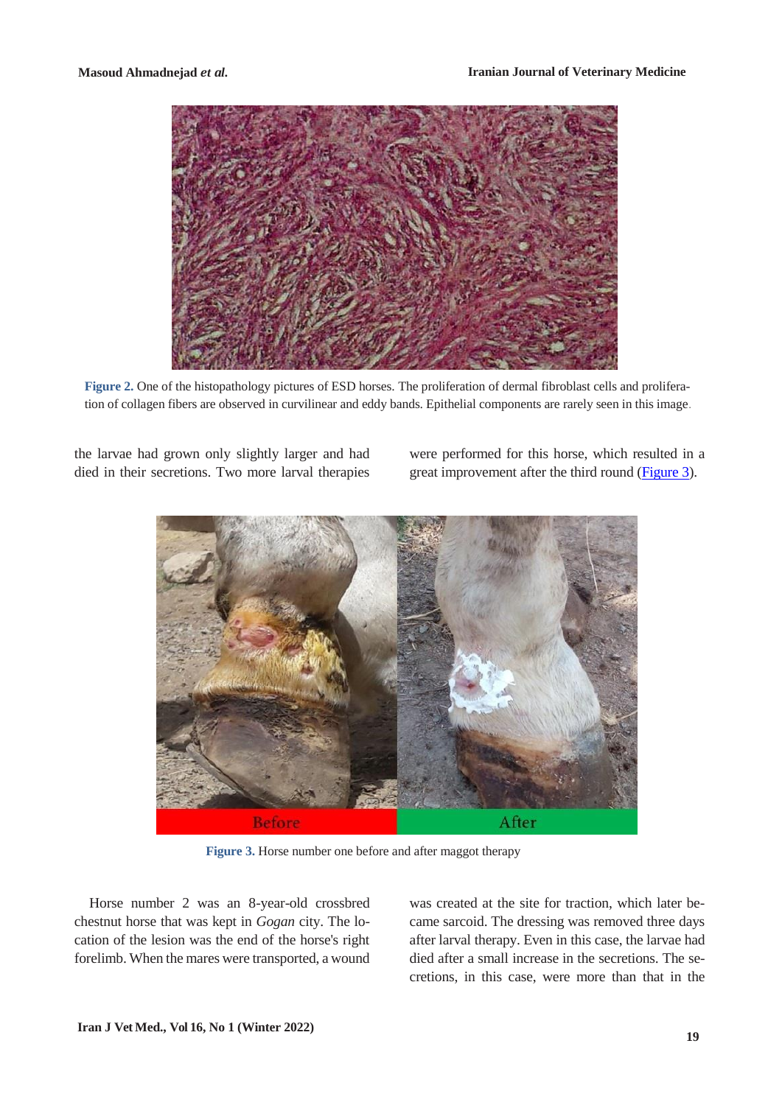

**Figure 2.** One of the histopathology pictures of ESD horses. The proliferation of dermal fibroblast cells and proliferation of collagen fibers are observed in curvilinear and eddy bands. Epithelial components are rarely seen in this image.

the larvae had grown only slightly larger and had died in their secretions. Two more larval therapies

were performed for this horse, which resulted in a great improvement after the third round [\(Figure 3\)](#page-4-0).



 **Figure 3.** Horse number one before and after maggot therapy

<span id="page-4-0"></span>Horse number 2 was an 8-year-old crossbred chestnut horse that was kept in *Gogan* city. The location of the lesion was the end of the horse's right forelimb. When the mares were transported, a wound was created at the site for traction, which later became sarcoid. The dressing was removed three days after larval therapy. Even in this case, the larvae had died after a small increase in the secretions. The secretions, in this case, were more than that in the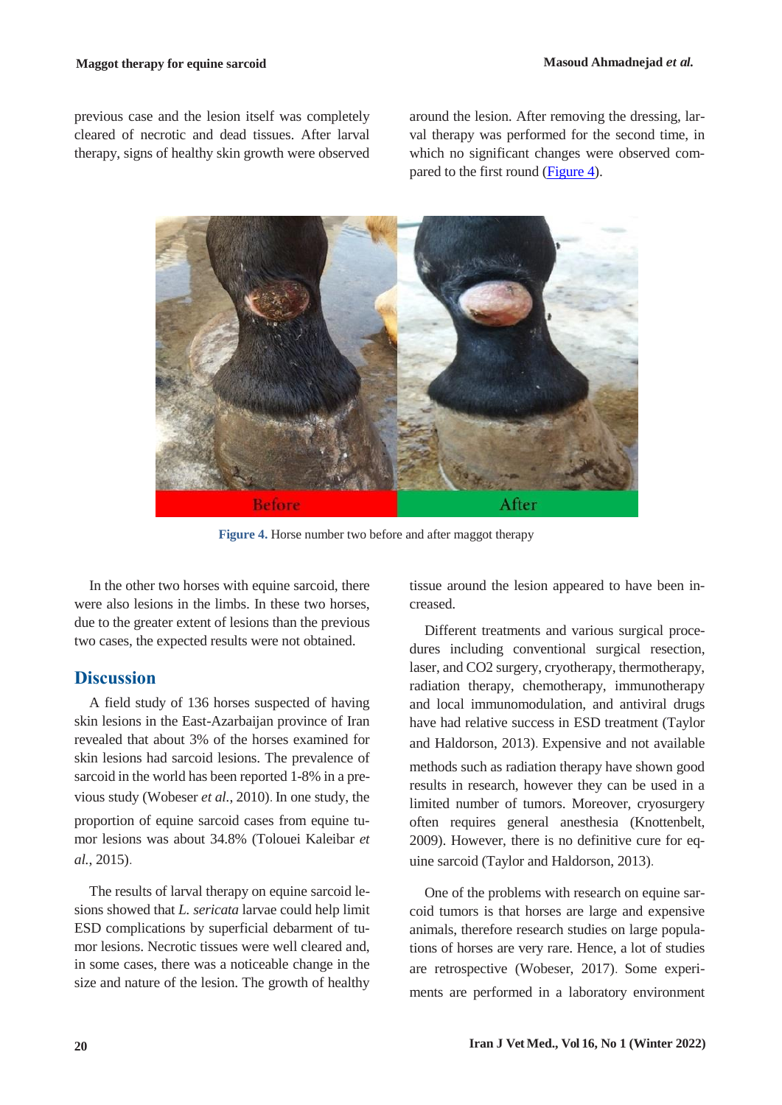previous case and the lesion itself was completely cleared of necrotic and dead tissues. After larval therapy, signs of healthy skin growth were observed around the lesion. After removing the dressing, larval therapy was performed for the second time, in which no significant changes were observed com-pared to the first round [\(Figure 4\)](#page-5-0).



 **Figure 4.** Horse number two before and after maggot therapy

<span id="page-5-0"></span>In the other two horses with equine sarcoid, there were also lesions in the limbs. In these two horses, due to the greater extent of lesions than the previous two cases, the expected results were not obtained.

#### **Discussion**

A field study of 136 horses suspected of having skin lesions in the East-Azarbaijan province of Iran revealed that about 3% of the horses examined for skin lesions had sarcoid lesions. The prevalence of sarcoid in the world has been reported 1-8% in a previous study (Wobeser *et al.*, 2010). In one study, the proportion of equine sarcoid cases from equine tumor lesions was about 34.8% (Tolouei Kaleibar *et al.*, 2015).

The results of larval therapy on equine sarcoid lesions showed that *L. sericata* larvae could help limit ESD complications by superficial debarment of tumor lesions. Necrotic tissues were well cleared and, in some cases, there was a noticeable change in the size and nature of the lesion. The growth of healthy

tissue around the lesion appeared to have been increased.

Different treatments and various surgical procedures including conventional surgical resection, laser, and CO2 surgery, cryotherapy, thermotherapy, radiation therapy, chemotherapy, immunotherapy and local immunomodulation, and antiviral drugs have had relative success in ESD treatment (Taylor and Haldorson, 2013). Expensive and not available methods such as radiation therapy have shown good results in research, however they can be used in a limited number of tumors. Moreover, cryosurgery often requires general anesthesia (Knottenbelt, 2009). However, there is no definitive cure for equine sarcoid (Taylor and Haldorson, 2013).

One of the problems with research on equine sarcoid tumors is that horses are large and expensive animals, therefore research studies on large populations of horses are very rare. Hence, a lot of studies are retrospective (Wobeser, 2017). Some experiments are performed in a laboratory environment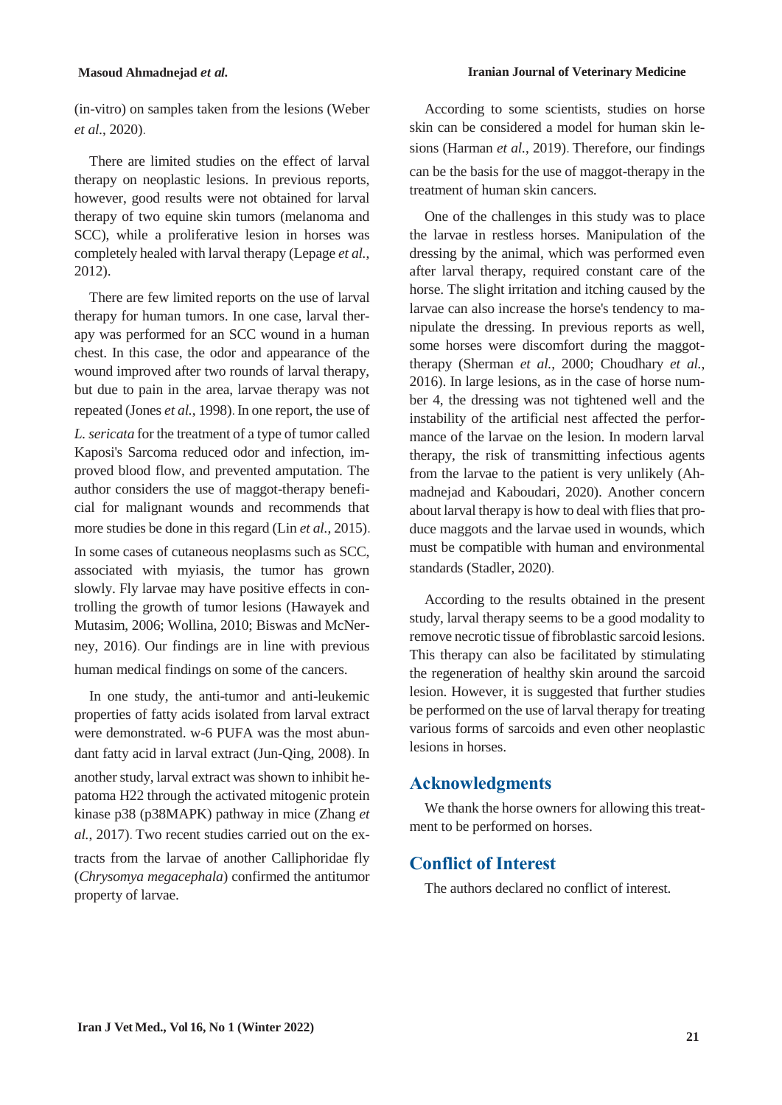(in-vitro) on samples taken from the lesions (Weber *et al.*, 2020).

There are limited studies on the effect of larval therapy on neoplastic lesions. In previous reports, however, good results were not obtained for larval therapy of two equine skin tumors (melanoma and SCC), while a proliferative lesion in horses was completely healed with larval therapy (Lepage *et al.*, 2012).

There are few limited reports on the use of larval therapy for human tumors. In one case, larval therapy was performed for an SCC wound in a human chest. In this case, the odor and appearance of the wound improved after two rounds of larval therapy, but due to pain in the area, larvae therapy was not repeated (Jones *et al.*, 1998). In one report, the use of *L. sericata* for the treatment of a type of tumor called Kaposi's Sarcoma reduced odor and infection, improved blood flow, and prevented amputation. The author considers the use of maggot-therapy beneficial for malignant wounds and recommends that more studies be done in this regard (Lin *et al.*, 2015). In some cases of cutaneous neoplasms such as SCC, associated with myiasis, the tumor has grown slowly. Fly larvae may have positive effects in controlling the growth of tumor lesions (Hawayek and Mutasim, 2006; Wollina, 2010; Biswas and McNerney, 2016). Our findings are in line with previous human medical findings on some of the cancers.

In one study, the anti-tumor and anti-leukemic properties of fatty acids isolated from larval extract were demonstrated. w-6 PUFA was the most abundant fatty acid in larval extract (Jun-Qing, 2008). In another study, larval extract was shown to inhibit hepatoma H22 through the activated mitogenic protein kinase p38 (p38MAPK) pathway in mice (Zhang *et al.*, 2017). Two recent studies carried out on the extracts from the larvae of another Calliphoridae fly (*Chrysomya megacephala*) confirmed the antitumor property of larvae.

According to some scientists, studies on horse skin can be considered a model for human skin lesions (Harman *et al.*, 2019). Therefore, our findings can be the basis for the use of maggot-therapy in the treatment of human skin cancers.

One of the challenges in this study was to place the larvae in restless horses. Manipulation of the dressing by the animal, which was performed even after larval therapy, required constant care of the horse. The slight irritation and itching caused by the larvae can also increase the horse's tendency to manipulate the dressing. In previous reports as well, some horses were discomfort during the maggottherapy (Sherman *et al.*, 2000; Choudhary *et al.*, 2016). In large lesions, as in the case of horse number 4, the dressing was not tightened well and the instability of the artificial nest affected the performance of the larvae on the lesion. In modern larval therapy, the risk of transmitting infectious agents from the larvae to the patient is very unlikely (Ahmadnejad and Kaboudari, 2020). Another concern about larval therapy is how to deal with flies that produce maggots and the larvae used in wounds, which must be compatible with human and environmental standards (Stadler, 2020).

According to the results obtained in the present study, larval therapy seems to be a good modality to remove necrotic tissue of fibroblastic sarcoid lesions. This therapy can also be facilitated by stimulating the regeneration of healthy skin around the sarcoid lesion. However, it is suggested that further studies be performed on the use of larval therapy for treating various forms of sarcoids and even other neoplastic lesions in horses.

# **Acknowledgments**

We thank the horse owners for allowing this treatment to be performed on horses.

## **Conflict of Interest**

The authors declared no conflict of interest.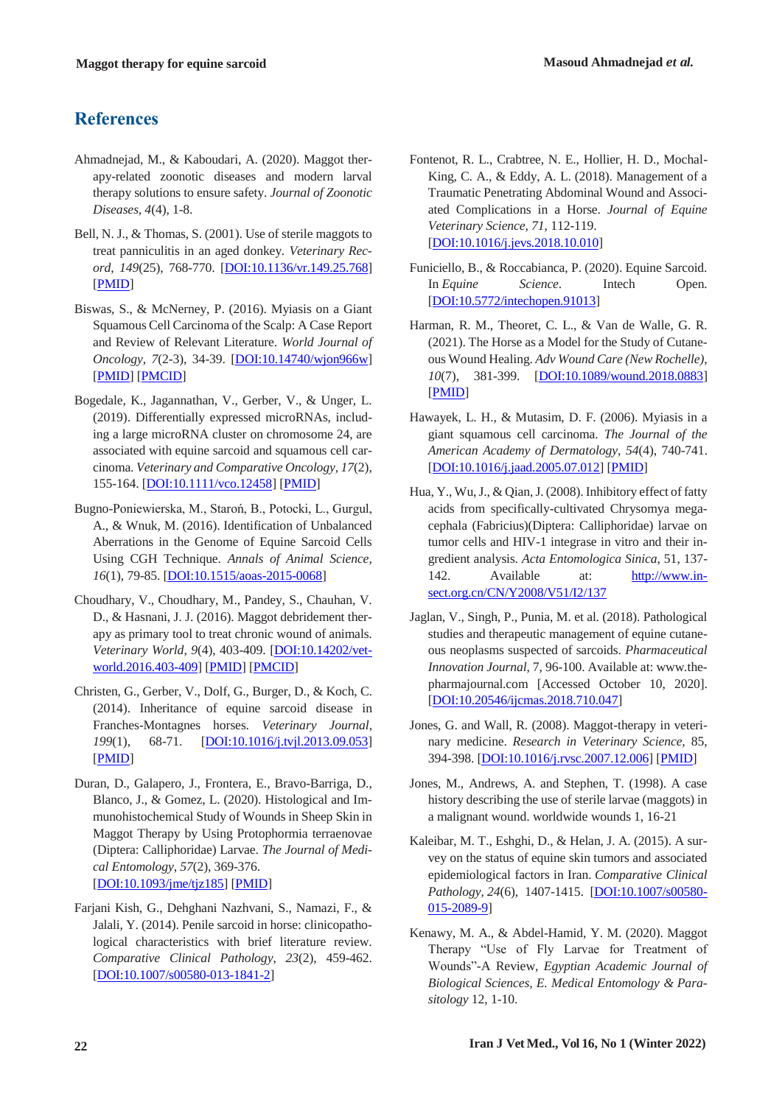# **References**

- Ahmadnejad, M., & Kaboudari, A. (2020). Maggot therapy-related zoonotic diseases and modern larval therapy solutions to ensure safety. *Journal of Zoonotic Diseases, 4*(4), 1-8.
- Bell, N. J., & Thomas, S. (2001). Use of sterile maggots to treat panniculitis in an aged donkey. *Veterinary Record*, *149*(25), 768-770. [DOI:10.1136/vr.149.25.768] [PMID]
- Biswas, S., & McNerney, P. (2016). Myiasis on a Giant Squamous Cell Carcinoma of the Scalp: A Case Report and Review of Relevant Literature. *World Journal of Oncology*, *7*(2-3), 34-39. [DOI:10.14740/wjon966w] [PMID] [PMCID]
- Bogedale, K., Jagannathan, V., Gerber, V., & Unger, L. (2019). Differentially expressed microRNAs, including a large microRNA cluster on chromosome 24, are associated with equine sarcoid and squamous cell carcinoma. *Veterinary and Comparative Oncology, 17*(2), 155-164. [DOI:10.1111/vco.12458] [PMID]
- Bugno-Poniewierska, M., Staroń, B., Potocki, L., Gurgul, A., & Wnuk, M. (2016). Identification of Unbalanced Aberrations in the Genome of Equine Sarcoid Cells Using CGH Technique. *Annals of Animal Science*, *16*(1), 79-85. [DOI:10.1515/aoas-2015-0068]
- Choudhary, V., Choudhary, M., Pandey, S., Chauhan, V. D., & Hasnani, J. J. (2016). Maggot debridement therapy as primary tool to treat chronic wound of animals. *Veterinary World*, *9*(4), 403-409. [DOI:10.14202/vetworld.2016.403-409] [PMID] [PMCID]
- Christen, G., Gerber, V., Dolf, G., Burger, D., & Koch, C. (2014). Inheritance of equine sarcoid disease in Franches-Montagnes horses. *Veterinary Journal*, *199*(1), 68-71. [DOI:10.1016/j.tvjl.2013.09.053] [PMID]
- Duran, D., Galapero, J., Frontera, E., Bravo-Barriga, D., Blanco, J., & Gomez, L. (2020). Histological and Immunohistochemical Study of Wounds in Sheep Skin in Maggot Therapy by Using Protophormia terraenovae (Diptera: Calliphoridae) Larvae. *The Journal of Medical Entomology*, *57*(2), 369-376. [DOI:10.1093/jme/tjz185] [PMID]
- Farjani Kish, G., Dehghani Nazhvani, S., Namazi, F., & Jalali, Y. (2014). Penile sarcoid in horse: clinicopathological characteristics with brief literature review. *Comparative Clinical Pathology*, *23*(2), 459-462. [DOI:10.1007/s00580-013-1841-2]
- Fontenot, R. L., Crabtree, N. E., Hollier, H. D., Mochal-King, C. A., & Eddy, A. L. (2018). Management of a Traumatic Penetrating Abdominal Wound and Associated Complications in a Horse. *Journal of Equine Veterinary Science*, *71*, 112-119. [DOI:10.1016/j.jevs.2018.10.010]
- Funiciello, B., & Roccabianca, P. (2020). Equine Sarcoid. In *Equine Science*. Intech Open. [DOI:10.5772/intechopen.91013]
- Harman, R. M., Theoret, C. L., & Van de Walle, G. R. (2021). The Horse as a Model for the Study of Cutaneous Wound Healing. *Adv Wound Care (New Rochelle)*, *10*(7), 381-399. [DOI:10.1089/wound.2018.0883] [PMID]
- Hawayek, L. H., & Mutasim, D. F. (2006). Myiasis in a giant squamous cell carcinoma. *The Journal of the American Academy of Dermatology*, *54*(4), 740-741. [DOI:10.1016/j.jaad.2005.07.012] [PMID]
- Hua, Y., Wu, J., & Qian, J. (2008). Inhibitory effect of fatty acids from specifically-cultivated Chrysomya megacephala (Fabricius)(Diptera: Calliphoridae) larvae on tumor cells and HIV-1 integrase in vitro and their ingredient analysis. *Acta Entomologica Sinica*, 51, 137- 142. Available at: http://www.insect.org.cn/CN/Y2008/V51/I2/137
- Jaglan, V., Singh, P., Punia, M. et al. (2018). Pathological studies and therapeutic management of equine cutaneous neoplasms suspected of sarcoids. *Pharmaceutical Innovation Journal*, 7, 96-100. Available at: www.thepharmajournal.com [Accessed October 10, 2020]. [DOI:10.20546/ijcmas.2018.710.047]
- Jones, G. and Wall, R. (2008). Maggot-therapy in veterinary medicine. *Research in Veterinary Science,* 85, 394-398. [DOI:10.1016/j.rvsc.2007.12.006] [PMID]
- Jones, M., Andrews, A. and Stephen, T. (1998). A case history describing the use of sterile larvae (maggots) in a malignant wound. worldwide wounds 1, 16-21
- Kaleibar, M. T., Eshghi, D., & Helan, J. A. (2015). A survey on the status of equine skin tumors and associated epidemiological factors in Iran. *Comparative Clinical Pathology*, *24*(6), 1407-1415. [DOI:10.1007/s00580- 015-2089-9]
- Kenawy, M. A., & Abdel-Hamid, Y. M. (2020). Maggot Therapy "Use of Fly Larvae for Treatment of Wounds"-A Review*, Egyptian Academic Journal of Biological Sciences, E. Medical Entomology & Parasitology* 12, 1-10.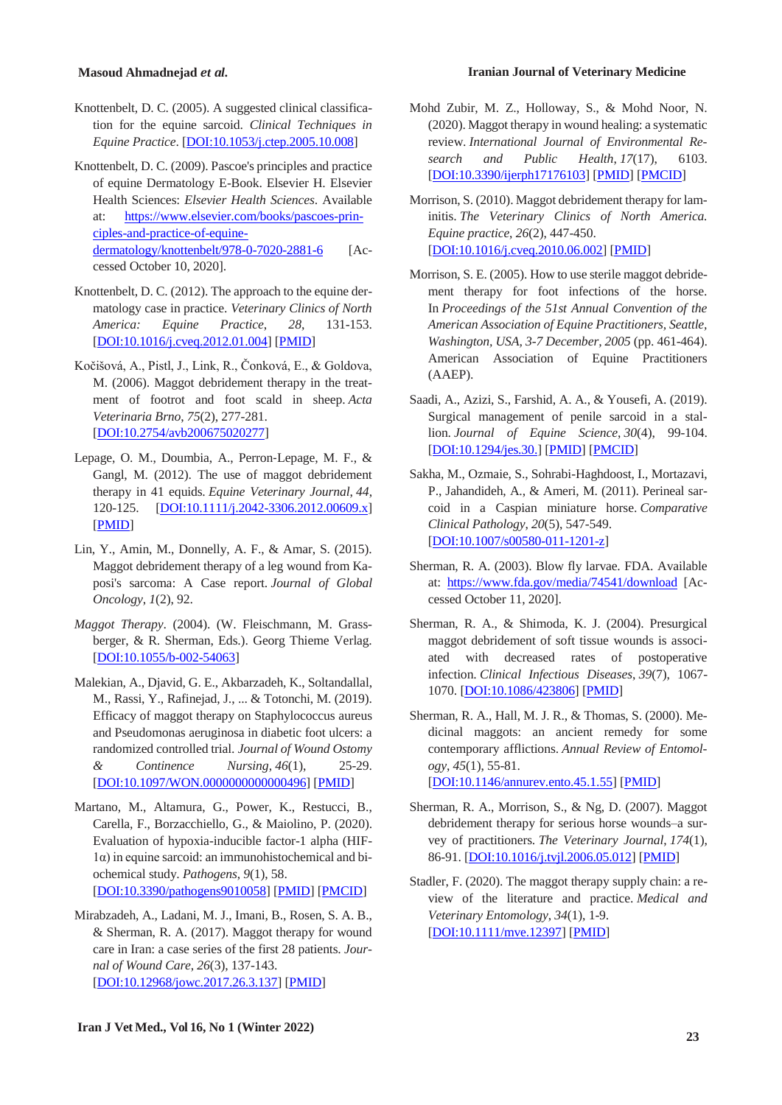- Knottenbelt, D. C. (2005). A suggested clinical classification for the equine sarcoid. *Clinical Techniques in Equine Practice*. [DOI:10.1053/j.ctep.2005.10.008]
- Knottenbelt, D. C. (2009). Pascoe's principles and practice of equine Dermatology E-Book. Elsevier H. Elsevier Health Sciences: *Elsevier Health Sciences*. Available at: https://www.elsevier.com/books/pascoes-principles-and-practice-of-equinedermatology/knottenbelt/978-0-7020-2881-6 [Accessed October 10, 2020].
- Knottenbelt, D. C. (2012). The approach to the equine dermatology case in practice. *Veterinary Clinics of North America: Equine Practice*, *28*, 131-153. [DOI:10.1016/j.cveq.2012.01.004] [PMID]
- Kočišová, A., Pistl, J., Link, R., Čonková, E., & Goldova, M. (2006). Maggot debridement therapy in the treatment of footrot and foot scald in sheep. *Acta Veterinaria Brno*, *75*(2), 277-281. [DOI:10.2754/avb200675020277]
- Lepage, O. M., Doumbia, A., Perron‐Lepage, M. F., & Gangl, M. (2012). The use of maggot debridement therapy in 41 equids. *Equine Veterinary Journal*, *44*, 120-125. [DOI:10.1111/j.2042-3306.2012.00609.x] [PMID]
- Lin, Y., Amin, M., Donnelly, A. F., & Amar, S. (2015). Maggot debridement therapy of a leg wound from Kaposi's sarcoma: A Case report. *Journal of Global Oncology*, *1*(2), 92.
- *Maggot Therapy*. (2004). (W. Fleischmann, M. Grassberger, & R. Sherman, Eds.). Georg Thieme Verlag. [DOI:10.1055/b-002-54063]
- Malekian, A., Djavid, G. E., Akbarzadeh, K., Soltandallal, M., Rassi, Y., Rafinejad, J., ... & Totonchi, M. (2019). Efficacy of maggot therapy on Staphylococcus aureus and Pseudomonas aeruginosa in diabetic foot ulcers: a randomized controlled trial. *Journal of Wound Ostomy & Continence Nursing*, *46*(1), 25-29. [DOI:10.1097/WON.0000000000000496] [PMID]
- Martano, M., Altamura, G., Power, K., Restucci, B., Carella, F., Borzacchiello, G., & Maiolino, P. (2020). Evaluation of hypoxia-inducible factor-1 alpha (HIF-1α) in equine sarcoid: an immunohistochemical and biochemical study. *Pathogens*, *9*(1), 58. [DOI:10.3390/pathogens9010058] [PMID] [PMCID]
- Mirabzadeh, A., Ladani, M. J., Imani, B., Rosen, S. A. B., & Sherman, R. A. (2017). Maggot therapy for wound care in Iran: a case series of the first 28 patients. *Journal of Wound Care*, *26*(3), 137-143. [DOI:10.12968/jowc.2017.26.3.137] [PMID]
- **Masoud Ahmadnejad** *et al.* **Iranian Journal of Veterinary Medicine**
	- Mohd Zubir, M. Z., Holloway, S., & Mohd Noor, N. (2020). Maggot therapy in wound healing: a systematic review. *International Journal of Environmental Research and Public Health*, *17*(17), 6103. [DOI:10.3390/ijerph17176103] [PMID] [PMCID]
	- Morrison, S. (2010). Maggot debridement therapy for laminitis. *The Veterinary Clinics of North America. Equine practice*, *26*(2), 447-450. [DOI:10.1016/j.cveq.2010.06.002] [PMID]
	- Morrison, S. E. (2005). How to use sterile maggot debridement therapy for foot infections of the horse. In *Proceedings of the 51st Annual Convention of the American Association of Equine Practitioners, Seattle, Washington, USA, 3-7 December, 2005* (pp. 461-464). American Association of Equine Practitioners (AAEP).
	- Saadi, A., Azizi, S., Farshid, A. A., & Yousefi, A. (2019). Surgical management of penile sarcoid in a stallion. *Journal of Equine Science*, *30*(4), 99-104. [DOI:10.1294/jes.30.] [PMID] [PMCID]
	- Sakha, M., Ozmaie, S., Sohrabi-Haghdoost, I., Mortazavi, P., Jahandideh, A., & Ameri, M. (2011). Perineal sarcoid in a Caspian miniature horse. *Comparative Clinical Pathology*, *20*(5), 547-549. [DOI:10.1007/s00580-011-1201-z]
	- Sherman, R. A. (2003). Blow fly larvae. FDA. Available at: https://www.fda.gov/media/74541/download [Accessed October 11, 2020].
	- Sherman, R. A., & Shimoda, K. J. (2004). Presurgical maggot debridement of soft tissue wounds is associated with decreased rates of postoperative infection. *Clinical Infectious Diseases*, *39*(7), 1067- 1070. [DOI:10.1086/423806] [PMID]
	- Sherman, R. A., Hall, M. J. R., & Thomas, S. (2000). Medicinal maggots: an ancient remedy for some contemporary afflictions. *Annual Review of Entomology*, *45*(1), 55-81. [DOI:10.1146/annurev.ento.45.1.55] [PMID]
	- Sherman, R. A., Morrison, S., & Ng, D. (2007). Maggot debridement therapy for serious horse wounds–a survey of practitioners. *The Veterinary Journal*, *174*(1), 86-91. [DOI:10.1016/j.tvjl.2006.05.012] [PMID]
	- Stadler, F. (2020). The maggot therapy supply chain: a review of the literature and practice. *Medical and Veterinary Entomology*, *34*(1), 1-9. [DOI:10.1111/mve.12397] [PMID]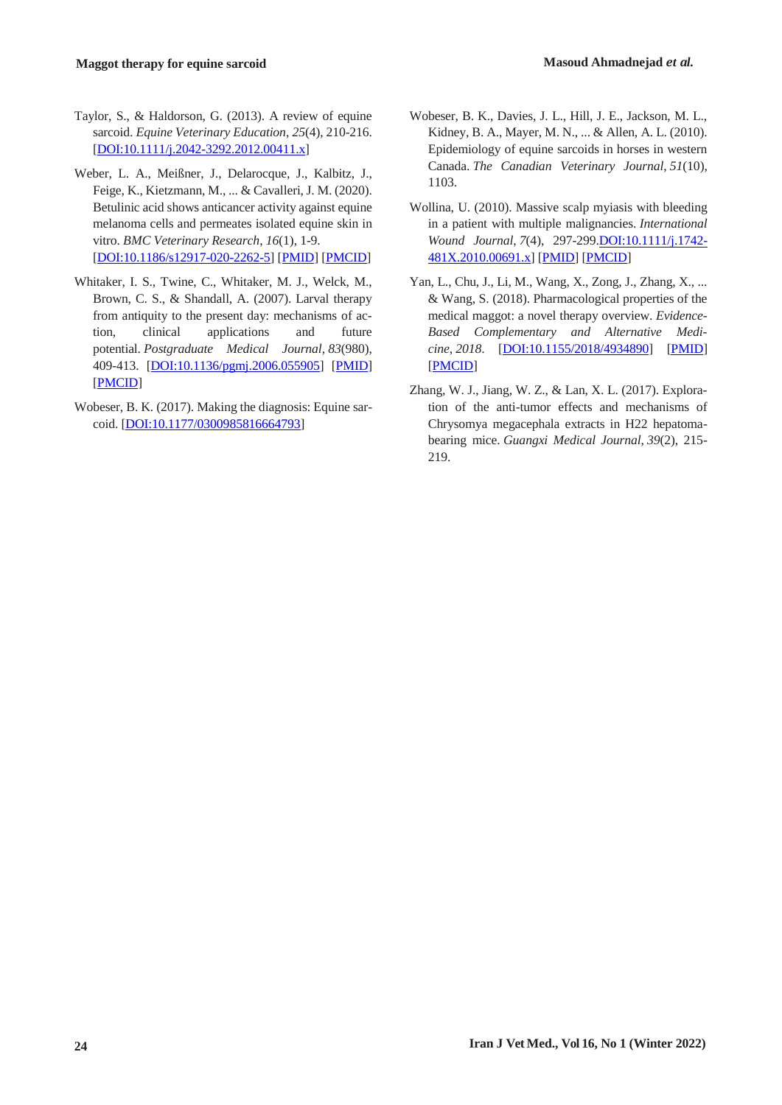- Taylor, S., & Haldorson, G. (2013). A review of equine sarcoid. *Equine Veterinary Education*, *25*(4), 210-216. [DOI:10.1111/j.2042-3292.2012.00411.x]
- Weber, L. A., Meißner, J., Delarocque, J., Kalbitz, J., Feige, K., Kietzmann, M., ... & Cavalleri, J. M. (2020). Betulinic acid shows anticancer activity against equine melanoma cells and permeates isolated equine skin in vitro. *BMC Veterinary Research*, *16*(1), 1-9. [DOI:10.1186/s12917-020-2262-5] [PMID] [PMCID]
- Whitaker, I. S., Twine, C., Whitaker, M. J., Welck, M., Brown, C. S., & Shandall, A. (2007). Larval therapy from antiquity to the present day: mechanisms of action, clinical applications and future potential. *Postgraduate Medical Journal*, *83*(980), 409-413. [DOI:10.1136/pgmj.2006.055905] [PMID] [PMCID]
- Wobeser, B. K. (2017). Making the diagnosis: Equine sarcoid. [DOI:10.1177/0300985816664793]
- Wobeser, B. K., Davies, J. L., Hill, J. E., Jackson, M. L., Kidney, B. A., Mayer, M. N., ... & Allen, A. L. (2010). Epidemiology of equine sarcoids in horses in western Canada. *The Canadian Veterinary Journal*, *51*(10), 1103.
- Wollina, U. (2010). Massive scalp myiasis with bleeding in a patient with multiple malignancies. *International Wound Journal*, *7*(4), 297-299.DOI:10.1111/j.1742- 481X.2010.00691.x] [PMID] [PMCID]
- Yan, L., Chu, J., Li, M., Wang, X., Zong, J., Zhang, X., ... & Wang, S. (2018). Pharmacological properties of the medical maggot: a novel therapy overview. *Evidence-Based Complementary and Alternative Medicine*, *2018*. [DOI:10.1155/2018/4934890] [PMID] [PMCID]
- Zhang, W. J., Jiang, W. Z., & Lan, X. L. (2017). Exploration of the anti-tumor effects and mechanisms of Chrysomya megacephala extracts in H22 hepatomabearing mice. *Guangxi Medical Journal*, *39*(2), 215- 219.